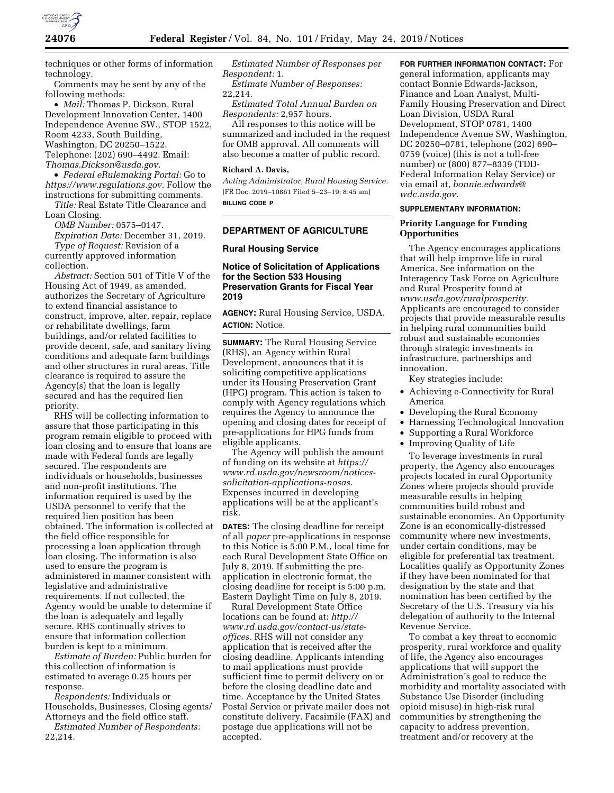

techniques or other forms of information technology.

Comments may be sent by any of the following methods:

• *Mail:* Thomas P. Dickson, Rural Development Innovation Center, 1400 Independence Avenue SW., STOP 1522, Room 4233, South Building, Washington, DC 20250–1522. Telephone: (202) 690–4492. Email: *[Thomas.Dickson@usda.gov.](mailto:Thomas.Dickson@usda.gov)* 

• *Federal eRulemaking Portal:* Go to *[https://www.regulations.gov.](https://www.regulations.gov)* Follow the instructions for submitting comments.

*Title:* Real Estate Title Clearance and Loan Closing.

*OMB Number:* 0575–0147. *Expiration Date:* December 31, 2019. *Type of Request:* Revision of a currently approved information collection.

*Abstract:* Section 501 of Title V of the Housing Act of 1949, as amended, authorizes the Secretary of Agriculture to extend financial assistance to construct, improve, alter, repair, replace or rehabilitate dwellings, farm buildings, and/or related facilities to provide decent, safe, and sanitary living conditions and adequate farm buildings and other structures in rural areas. Title clearance is required to assure the Agency(s) that the loan is legally secured and has the required lien priority.

RHS will be collecting information to assure that those participating in this program remain eligible to proceed with loan closing and to ensure that loans are made with Federal funds are legally secured. The respondents are individuals or households, businesses and non-profit institutions. The information required is used by the USDA personnel to verify that the required lien position has been obtained. The information is collected at the field office responsible for processing a loan application through loan closing. The information is also used to ensure the program is administered in manner consistent with legislative and administrative requirements. If not collected, the Agency would be unable to determine if the loan is adequately and legally secure. RHS continually strives to ensure that information collection burden is kept to a minimum.

*Estimate of Burden:* Public burden for this collection of information is estimated to average 0.25 hours per response.

*Respondents:* Individuals or Households, Businesses, Closing agents/ Attorneys and the field office staff.

*Estimated Number of Respondents:*  22,214.

*Estimated Number of Responses per Respondent:* 1.

*Estimate Number of Responses:*  22,214.

*Estimated Total Annual Burden on Respondents:* 2,957 hours.

All responses to this notice will be summarized and included in the request for OMB approval. All comments will also become a matter of public record.

### **Richard A. Davis,**

*Acting Administrator, Rural Housing Service.*  [FR Doc. 2019–10861 Filed 5–23–19; 8:45 am] **BILLING CODE P** 

## **DEPARTMENT OF AGRICULTURE**

### **Rural Housing Service**

## **Notice of Solicitation of Applications for the Section 533 Housing Preservation Grants for Fiscal Year 2019**

**AGENCY:** Rural Housing Service, USDA. **ACTION:** Notice.

**SUMMARY:** The Rural Housing Service (RHS), an Agency within Rural Development, announces that it is soliciting competitive applications under its Housing Preservation Grant (HPG) program. This action is taken to comply with Agency regulations which requires the Agency to announce the opening and closing dates for receipt of pre-applications for HPG funds from eligible applicants.

The Agency will publish the amount of funding on its website at *[https://](https://www.rd.usda.gov/newsroom/notices-solicitation-applications-nosas) [www.rd.usda.gov/newsroom/notices](https://www.rd.usda.gov/newsroom/notices-solicitation-applications-nosas)[solicitation-applications-nosas.](https://www.rd.usda.gov/newsroom/notices-solicitation-applications-nosas)*  Expenses incurred in developing applications will be at the applicant's risk.

**DATES:** The closing deadline for receipt of all *paper* pre-applications in response to this Notice is 5:00 P.M., local time for each Rural Development State Office on July 8, 2019. If submitting the preapplication in electronic format, the closing deadline for receipt is 5:00 p.m. Eastern Daylight Time on July 8, 2019.

Rural Development State Office locations can be found at: *[http://](http://www.rd.usda.gov/contact-us/state-offices) [www.rd.usda.gov/contact-us/state](http://www.rd.usda.gov/contact-us/state-offices)[offices.](http://www.rd.usda.gov/contact-us/state-offices)* RHS will not consider any application that is received after the closing deadline. Applicants intending to mail applications must provide sufficient time to permit delivery on or before the closing deadline date and time. Acceptance by the United States Postal Service or private mailer does not constitute delivery. Facsimile (FAX) and postage due applications will not be accepted.

**FOR FURTHER INFORMATION CONTACT:** For general information, applicants may contact Bonnie Edwards-Jackson, Finance and Loan Analyst, Multi-Family Housing Preservation and Direct Loan Division, USDA Rural Development, STOP 0781, 1400 Independence Avenue SW, Washington, DC 20250–0781, telephone (202) 690– 0759 (voice) (this is not a toll-free number) or (800) 877–8339 (TDD-Federal Information Relay Service) or via email at, *[bonnie.edwards@](mailto:bonnie.edwards@wdc.usda.gov) [wdc.usda.gov.](mailto:bonnie.edwards@wdc.usda.gov)* 

## **SUPPLEMENTARY INFORMATION:**

## **Priority Language for Funding Opportunities**

The Agency encourages applications that will help improve life in rural America. See information on the Interagency Task Force on Agriculture and Rural Prosperity found at *[www.usda.gov/ruralprosperity.](http://www.usda.gov/ruralprosperity)*  Applicants are encouraged to consider projects that provide measurable results in helping rural communities build robust and sustainable economies through strategic investments in infrastructure, partnerships and innovation.

Key strategies include:

- Achieving e-Connectivity for Rural America
- Developing the Rural Economy
- Harnessing Technological Innovation
- Supporting a Rural Workforce
- Improving Quality of Life

To leverage investments in rural property, the Agency also encourages projects located in rural Opportunity Zones where projects should provide measurable results in helping communities build robust and sustainable economies. An Opportunity Zone is an economically-distressed community where new investments, under certain conditions, may be eligible for preferential tax treatment. Localities qualify as Opportunity Zones if they have been nominated for that designation by the state and that nomination has been certified by the Secretary of the U.S. Treasury via his delegation of authority to the Internal Revenue Service.

To combat a key threat to economic prosperity, rural workforce and quality of life, the Agency also encourages applications that will support the Administration's goal to reduce the morbidity and mortality associated with Substance Use Disorder (including opioid misuse) in high-risk rural communities by strengthening the capacity to address prevention, treatment and/or recovery at the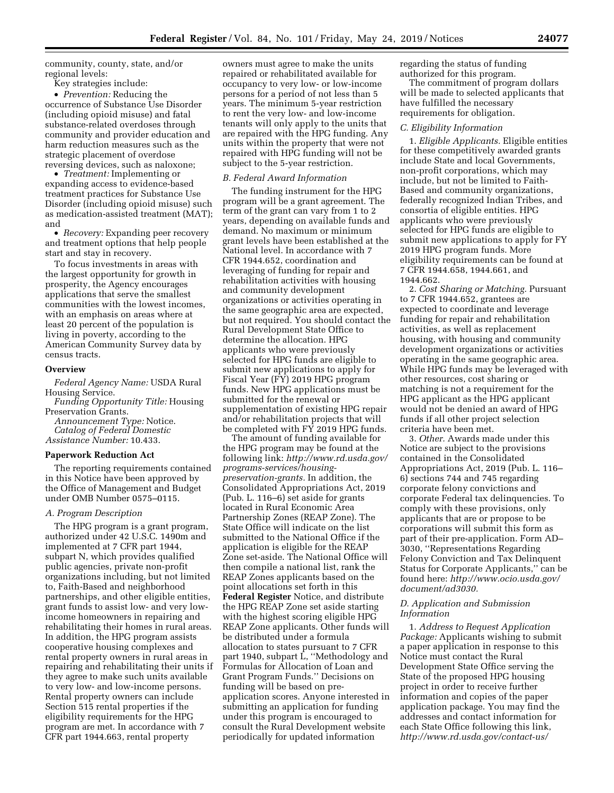community, county, state, and/or regional levels:

Key strategies include:

• *Prevention:* Reducing the occurrence of Substance Use Disorder (including opioid misuse) and fatal substance-related overdoses through community and provider education and harm reduction measures such as the strategic placement of overdose reversing devices, such as naloxone;

• *Treatment:* Implementing or expanding access to evidence-based treatment practices for Substance Use Disorder (including opioid misuse) such as medication-assisted treatment (MAT); and

• *Recovery:* Expanding peer recovery and treatment options that help people start and stay in recovery.

To focus investments in areas with the largest opportunity for growth in prosperity, the Agency encourages applications that serve the smallest communities with the lowest incomes, with an emphasis on areas where at least 20 percent of the population is living in poverty, according to the American Community Survey data by census tracts.

## **Overview**

*Federal Agency Name:* USDA Rural Housing Service.

*Funding Opportunity Title:* Housing Preservation Grants.

*Announcement Type:* Notice. *Catalog of Federal Domestic Assistance Number:* 10.433.

#### **Paperwork Reduction Act**

The reporting requirements contained in this Notice have been approved by the Office of Management and Budget under OMB Number 0575–0115.

#### *A. Program Description*

The HPG program is a grant program, authorized under 42 U.S.C. 1490m and implemented at 7 CFR part 1944, subpart N, which provides qualified public agencies, private non-profit organizations including, but not limited to, Faith-Based and neighborhood partnerships, and other eligible entities, grant funds to assist low- and very lowincome homeowners in repairing and rehabilitating their homes in rural areas. In addition, the HPG program assists cooperative housing complexes and rental property owners in rural areas in repairing and rehabilitating their units if they agree to make such units available to very low- and low-income persons. Rental property owners can include Section 515 rental properties if the eligibility requirements for the HPG program are met. In accordance with 7 CFR part 1944.663, rental property

owners must agree to make the units repaired or rehabilitated available for occupancy to very low- or low-income persons for a period of not less than 5 years. The minimum 5-year restriction to rent the very low- and low-income tenants will only apply to the units that are repaired with the HPG funding. Any units within the property that were not repaired with HPG funding will not be subject to the 5-year restriction.

#### *B. Federal Award Information*

The funding instrument for the HPG program will be a grant agreement. The term of the grant can vary from 1 to 2 years, depending on available funds and demand. No maximum or minimum grant levels have been established at the National level. In accordance with 7 CFR 1944.652, coordination and leveraging of funding for repair and rehabilitation activities with housing and community development organizations or activities operating in the same geographic area are expected, but not required. You should contact the Rural Development State Office to determine the allocation. HPG applicants who were previously selected for HPG funds are eligible to submit new applications to apply for Fiscal Year (FY) 2019 HPG program funds. New HPG applications must be submitted for the renewal or supplementation of existing HPG repair and/or rehabilitation projects that will be completed with FY 2019 HPG funds.

The amount of funding available for the HPG program may be found at the following link: *[http://www.rd.usda.gov/](http://www.rd.usda.gov/programs-services/housing-preservation-grants)  [programs-services/housing](http://www.rd.usda.gov/programs-services/housing-preservation-grants)[preservation-grants.](http://www.rd.usda.gov/programs-services/housing-preservation-grants)* In addition, the Consolidated Appropriations Act, 2019 (Pub. L. 116–6) set aside for grants located in Rural Economic Area Partnership Zones (REAP Zone). The State Office will indicate on the list submitted to the National Office if the application is eligible for the REAP Zone set-aside. The National Office will then compile a national list, rank the REAP Zones applicants based on the point allocations set forth in this **Federal Register** Notice, and distribute the HPG REAP Zone set aside starting with the highest scoring eligible HPG REAP Zone applicants. Other funds will be distributed under a formula allocation to states pursuant to 7 CFR part 1940, subpart L, ''Methodology and Formulas for Allocation of Loan and Grant Program Funds.'' Decisions on funding will be based on preapplication scores. Anyone interested in submitting an application for funding under this program is encouraged to consult the Rural Development website periodically for updated information

regarding the status of funding authorized for this program.

The commitment of program dollars will be made to selected applicants that have fulfilled the necessary requirements for obligation.

#### *C. Eligibility Information*

1. *Eligible Applicants.* Eligible entities for these competitively awarded grants include State and local Governments, non-profit corporations, which may include, but not be limited to Faith-Based and community organizations, federally recognized Indian Tribes, and consortia of eligible entities. HPG applicants who were previously selected for HPG funds are eligible to submit new applications to apply for FY 2019 HPG program funds. More eligibility requirements can be found at 7 CFR 1944.658, 1944.661, and 1944.662.

2. *Cost Sharing or Matching.* Pursuant to 7 CFR 1944.652, grantees are expected to coordinate and leverage funding for repair and rehabilitation activities, as well as replacement housing, with housing and community development organizations or activities operating in the same geographic area. While HPG funds may be leveraged with other resources, cost sharing or matching is not a requirement for the HPG applicant as the HPG applicant would not be denied an award of HPG funds if all other project selection criteria have been met.

3. *Other.* Awards made under this Notice are subject to the provisions contained in the Consolidated Appropriations Act, 2019 (Pub. L. 116– 6) sections 744 and 745 regarding corporate felony convictions and corporate Federal tax delinquencies. To comply with these provisions, only applicants that are or propose to be corporations will submit this form as part of their pre-application. Form AD– 3030, ''Representations Regarding Felony Conviction and Tax Delinquent Status for Corporate Applicants,'' can be found here: *[http://www.ocio.usda.gov/](http://www.ocio.usda.gov/document/ad3030) [document/ad3030.](http://www.ocio.usda.gov/document/ad3030)* 

## *D. Application and Submission Information*

1. *Address to Request Application Package:* Applicants wishing to submit a paper application in response to this Notice must contact the Rural Development State Office serving the State of the proposed HPG housing project in order to receive further information and copies of the paper application package. You may find the addresses and contact information for each State Office following this link, *[http://www.rd.usda.gov/contact-us/](http://www.rd.usda.gov/contact-us/state-offices)*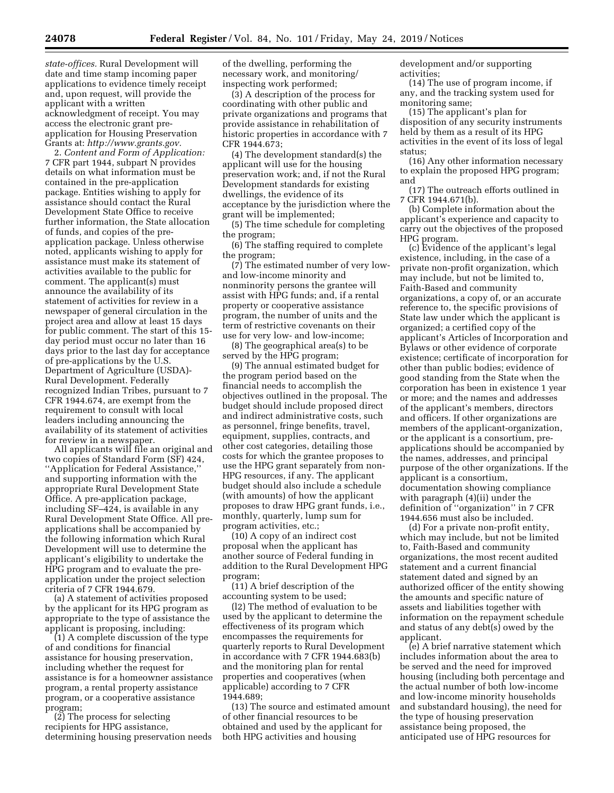*[state-offices.](http://www.rd.usda.gov/contact-us/state-offices)* Rural Development will date and time stamp incoming paper applications to evidence timely receipt and, upon request, will provide the applicant with a written acknowledgment of receipt. You may access the electronic grant preapplication for Housing Preservation Grants at: *[http://www.grants.gov.](http://www.grants.gov)* 

2. *Content and Form of Application:*  7 CFR part 1944, subpart N provides details on what information must be contained in the pre-application package. Entities wishing to apply for assistance should contact the Rural Development State Office to receive further information, the State allocation of funds, and copies of the preapplication package. Unless otherwise noted, applicants wishing to apply for assistance must make its statement of activities available to the public for comment. The applicant(s) must announce the availability of its statement of activities for review in a newspaper of general circulation in the project area and allow at least 15 days for public comment. The start of this 15 day period must occur no later than 16 days prior to the last day for acceptance of pre-applications by the U.S. Department of Agriculture (USDA)- Rural Development. Federally recognized Indian Tribes, pursuant to 7 CFR 1944.674, are exempt from the requirement to consult with local leaders including announcing the availability of its statement of activities for review in a newspaper.

All applicants will file an original and two copies of Standard Form (SF) 424, ''Application for Federal Assistance,'' and supporting information with the appropriate Rural Development State Office. A pre-application package, including SF–424, is available in any Rural Development State Office. All preapplications shall be accompanied by the following information which Rural Development will use to determine the applicant's eligibility to undertake the HPG program and to evaluate the preapplication under the project selection criteria of 7 CFR 1944.679.

(a) A statement of activities proposed by the applicant for its HPG program as appropriate to the type of assistance the applicant is proposing, including:

(1) A complete discussion of the type of and conditions for financial assistance for housing preservation, including whether the request for assistance is for a homeowner assistance program, a rental property assistance program, or a cooperative assistance program;

(2) The process for selecting recipients for HPG assistance, determining housing preservation needs of the dwelling, performing the necessary work, and monitoring/ inspecting work performed;

(3) A description of the process for coordinating with other public and private organizations and programs that provide assistance in rehabilitation of historic properties in accordance with 7 CFR 1944.673;

(4) The development standard(s) the applicant will use for the housing preservation work; and, if not the Rural Development standards for existing dwellings, the evidence of its acceptance by the jurisdiction where the grant will be implemented;

(5) The time schedule for completing the program;

(6) The staffing required to complete the program;

(7) The estimated number of very lowand low-income minority and nonminority persons the grantee will assist with HPG funds; and, if a rental property or cooperative assistance program, the number of units and the term of restrictive covenants on their use for very low- and low-income;

(8) The geographical area(s) to be served by the HPG program;

(9) The annual estimated budget for the program period based on the financial needs to accomplish the objectives outlined in the proposal. The budget should include proposed direct and indirect administrative costs, such as personnel, fringe benefits, travel, equipment, supplies, contracts, and other cost categories, detailing those costs for which the grantee proposes to use the HPG grant separately from non-HPG resources, if any. The applicant budget should also include a schedule (with amounts) of how the applicant proposes to draw HPG grant funds, i.e., monthly, quarterly, lump sum for program activities, etc.;

(10) A copy of an indirect cost proposal when the applicant has another source of Federal funding in addition to the Rural Development HPG program;

(11) A brief description of the accounting system to be used;

(l2) The method of evaluation to be used by the applicant to determine the effectiveness of its program which encompasses the requirements for quarterly reports to Rural Development in accordance with 7 CFR 1944.683(b) and the monitoring plan for rental properties and cooperatives (when applicable) according to 7 CFR 1944.689;

(13) The source and estimated amount of other financial resources to be obtained and used by the applicant for both HPG activities and housing

development and/or supporting activities;

(14) The use of program income, if any, and the tracking system used for monitoring same;

(15) The applicant's plan for disposition of any security instruments held by them as a result of its HPG activities in the event of its loss of legal status;

(16) Any other information necessary to explain the proposed HPG program; and

(17) The outreach efforts outlined in 7 CFR 1944.671(b).

(b) Complete information about the applicant's experience and capacity to carry out the objectives of the proposed HPG program.

(c) Evidence of the applicant's legal existence, including, in the case of a private non-profit organization, which may include, but not be limited to, Faith-Based and community organizations, a copy of, or an accurate reference to, the specific provisions of State law under which the applicant is organized; a certified copy of the applicant's Articles of Incorporation and Bylaws or other evidence of corporate existence; certificate of incorporation for other than public bodies; evidence of good standing from the State when the corporation has been in existence 1 year or more; and the names and addresses of the applicant's members, directors and officers. If other organizations are members of the applicant-organization, or the applicant is a consortium, preapplications should be accompanied by the names, addresses, and principal purpose of the other organizations. If the applicant is a consortium, documentation showing compliance with paragraph (4)(ii) under the definition of ''organization'' in 7 CFR 1944.656 must also be included.

(d) For a private non-profit entity, which may include, but not be limited to, Faith-Based and community organizations, the most recent audited statement and a current financial statement dated and signed by an authorized officer of the entity showing the amounts and specific nature of assets and liabilities together with information on the repayment schedule and status of any debt(s) owed by the applicant.

(e) A brief narrative statement which includes information about the area to be served and the need for improved housing (including both percentage and the actual number of both low-income and low-income minority households and substandard housing), the need for the type of housing preservation assistance being proposed, the anticipated use of HPG resources for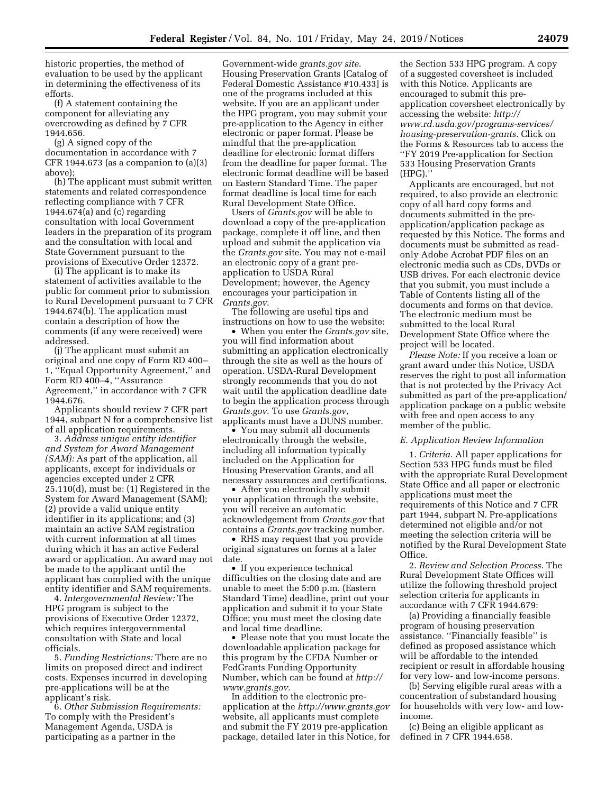historic properties, the method of evaluation to be used by the applicant in determining the effectiveness of its efforts.

(f) A statement containing the component for alleviating any overcrowding as defined by 7 CFR 1944.656.

(g) A signed copy of the documentation in accordance with 7 CFR 1944.673 (as a companion to (a)(3) above);

(h) The applicant must submit written statements and related correspondence reflecting compliance with 7 CFR 1944.674(a) and  $(c)$  regarding consultation with local Government leaders in the preparation of its program and the consultation with local and State Government pursuant to the provisions of Executive Order 12372.

(i) The applicant is to make its statement of activities available to the public for comment prior to submission to Rural Development pursuant to 7 CFR 1944.674(b). The application must contain a description of how the comments (if any were received) were addressed.

(j) The applicant must submit an original and one copy of Form RD 400– 1, ''Equal Opportunity Agreement,'' and Form RD 400–4, ''Assurance Agreement,'' in accordance with 7 CFR 1944.676.

Applicants should review 7 CFR part 1944, subpart N for a comprehensive list of all application requirements.

3. *Address unique entity identifier and System for Award Management (SAM):* As part of the application, all applicants, except for individuals or agencies excepted under 2 CFR 25.110(d), must be: (1) Registered in the System for Award Management (SAM); (2) provide a valid unique entity identifier in its applications; and (3) maintain an active SAM registration with current information at all times during which it has an active Federal award or application. An award may not be made to the applicant until the applicant has complied with the unique entity identifier and SAM requirements.

4. *Intergovernmental Review:* The HPG program is subject to the provisions of Executive Order 12372, which requires intergovernmental consultation with State and local officials.

5. *Funding Restrictions:* There are no limits on proposed direct and indirect costs. Expenses incurred in developing pre-applications will be at the applicant's risk.

6. *Other Submission Requirements:*  To comply with the President's Management Agenda, USDA is participating as a partner in the

Government-wide *grants.gov site*. Housing Preservation Grants [Catalog of Federal Domestic Assistance #10.433] is one of the programs included at this website. If you are an applicant under the HPG program, you may submit your pre-application to the Agency in either electronic or paper format. Please be mindful that the pre-application deadline for electronic format differs from the deadline for paper format. The electronic format deadline will be based on Eastern Standard Time. The paper format deadline is local time for each Rural Development State Office.

Users of *Grants.gov* will be able to download a copy of the pre-application package, complete it off line, and then upload and submit the application via the *Grants.gov* site. You may not e-mail an electronic copy of a grant preapplication to USDA Rural Development; however, the Agency encourages your participation in *Grants.gov*.

The following are useful tips and instructions on how to use the website:

• When you enter the *Grants.gov* site, you will find information about submitting an application electronically through the site as well as the hours of operation. USDA-Rural Development strongly recommends that you do not wait until the application deadline date to begin the application process through *Grants.gov*. To use *Grants.gov*, applicants must have a DUNS number.

• You may submit all documents electronically through the website, including all information typically included on the Application for Housing Preservation Grants, and all necessary assurances and certifications.

• After you electronically submit your application through the website, you will receive an automatic acknowledgement from *Grants.gov* that contains a *Grants.gov* tracking number.

• RHS may request that you provide original signatures on forms at a later date.

• If you experience technical difficulties on the closing date and are unable to meet the 5:00 p.m. (Eastern Standard Time) deadline, print out your application and submit it to your State Office; you must meet the closing date and local time deadline.

• Please note that you must locate the downloadable application package for this program by the CFDA Number or FedGrants Funding Opportunity Number, which can be found at *[http://](http://www.grants.gov) [www.grants.gov.](http://www.grants.gov)* 

In addition to the electronic preapplication at the *<http://www.grants.gov>* website, all applicants must complete and submit the FY 2019 pre-application package, detailed later in this Notice, for

the Section 533 HPG program. A copy of a suggested coversheet is included with this Notice. Applicants are encouraged to submit this preapplication coversheet electronically by accessing the website: *[http://](http://www.rd.usda.gov/programs-services/housing-preservation-grants) [www.rd.usda.gov/programs-services/](http://www.rd.usda.gov/programs-services/housing-preservation-grants)  [housing-preservation-grants.](http://www.rd.usda.gov/programs-services/housing-preservation-grants)* Click on the Forms & Resources tab to access the ''FY 2019 Pre-application for Section 533 Housing Preservation Grants (HPG).''

Applicants are encouraged, but not required, to also provide an electronic copy of all hard copy forms and documents submitted in the preapplication/application package as requested by this Notice. The forms and documents must be submitted as readonly Adobe Acrobat PDF files on an electronic media such as CDs, DVDs or USB drives. For each electronic device that you submit, you must include a Table of Contents listing all of the documents and forms on that device. The electronic medium must be submitted to the local Rural Development State Office where the project will be located.

*Please Note:* If you receive a loan or grant award under this Notice, USDA reserves the right to post all information that is not protected by the Privacy Act submitted as part of the pre-application/ application package on a public website with free and open access to any member of the public.

#### *E. Application Review Information*

1. *Criteria.* All paper applications for Section 533 HPG funds must be filed with the appropriate Rural Development State Office and all paper or electronic applications must meet the requirements of this Notice and 7 CFR part 1944, subpart N. Pre-applications determined not eligible and/or not meeting the selection criteria will be notified by the Rural Development State Office.

2. *Review and Selection Process.* The Rural Development State Offices will utilize the following threshold project selection criteria for applicants in accordance with 7 CFR 1944.679:

(a) Providing a financially feasible program of housing preservation assistance. ''Financially feasible'' is defined as proposed assistance which will be affordable to the intended recipient or result in affordable housing for very low- and low-income persons.

(b) Serving eligible rural areas with a concentration of substandard housing for households with very low- and lowincome.

(c) Being an eligible applicant as defined in 7 CFR 1944.658.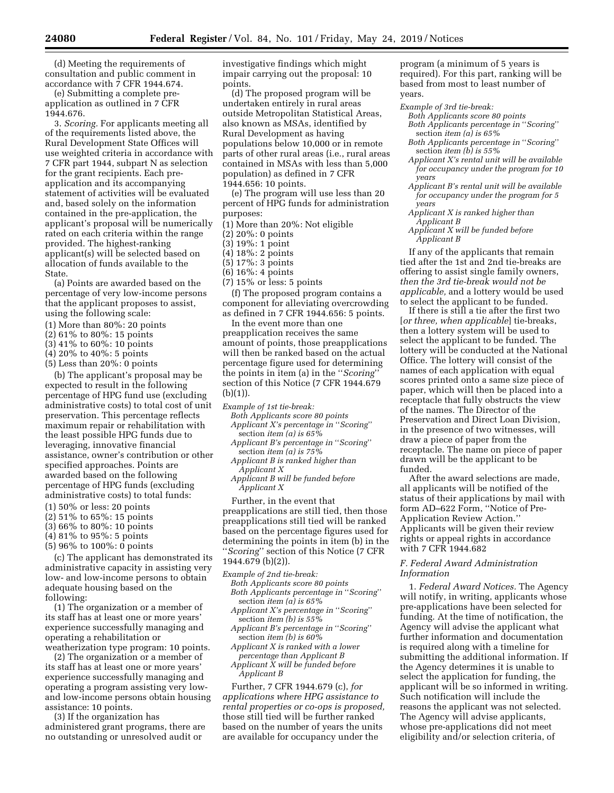(d) Meeting the requirements of consultation and public comment in accordance with 7 CFR 1944.674.

(e) Submitting a complete preapplication as outlined in 7 CFR 1944.676.

3. *Scoring.* For applicants meeting all of the requirements listed above, the Rural Development State Offices will use weighted criteria in accordance with 7 CFR part 1944, subpart N as selection for the grant recipients. Each preapplication and its accompanying statement of activities will be evaluated and, based solely on the information contained in the pre-application, the applicant's proposal will be numerically rated on each criteria within the range provided. The highest-ranking applicant(s) will be selected based on allocation of funds available to the State.

(a) Points are awarded based on the percentage of very low-income persons that the applicant proposes to assist, using the following scale:

- (1) More than 80%: 20 points
- (2) 61% to 80%: 15 points
- (3) 41% to 60%: 10 points
- (4) 20% to 40%: 5 points
- (5) Less than 20%: 0 points

(b) The applicant's proposal may be expected to result in the following percentage of HPG fund use (excluding administrative costs) to total cost of unit preservation. This percentage reflects maximum repair or rehabilitation with the least possible HPG funds due to leveraging, innovative financial assistance, owner's contribution or other specified approaches. Points are awarded based on the following percentage of HPG funds (excluding administrative costs) to total funds:

- (1) 50% or less: 20 points
- (2) 51% to 65%: 15 points
- (3) 66% to 80%: 10 points
- (4) 81% to 95%: 5 points
- (5) 96% to 100%: 0 points

(c) The applicant has demonstrated its administrative capacity in assisting very low- and low-income persons to obtain adequate housing based on the following:

(1) The organization or a member of its staff has at least one or more years' experience successfully managing and operating a rehabilitation or weatherization type program: 10 points.

(2) The organization or a member of its staff has at least one or more years' experience successfully managing and operating a program assisting very lowand low-income persons obtain housing assistance: 10 points.

(3) If the organization has administered grant programs, there are no outstanding or unresolved audit or

investigative findings which might impair carrying out the proposal: 10 points.

(d) The proposed program will be undertaken entirely in rural areas outside Metropolitan Statistical Areas, also known as MSAs, identified by Rural Development as having populations below 10,000 or in remote parts of other rural areas (i.e., rural areas contained in MSAs with less than 5,000 population) as defined in 7 CFR 1944.656: 10 points.

(e) The program will use less than 20 percent of HPG funds for administration purposes:

- (1) More than 20%: Not eligible
- (2) 20%: 0 points
- (3) 19%: 1 point
- (4) 18%: 2 points
- (5) 17%: 3 points
- (6) 16%: 4 points
- (7) 15% or less: 5 points

(f) The proposed program contains a component for alleviating overcrowding as defined in 7 CFR 1944.656: 5 points.

In the event more than one preapplication receives the same amount of points, those preapplications will then be ranked based on the actual percentage figure used for determining the points in item (a) in the ''*Scoring*'' section of this Notice (7 CFR 1944.679  $(b)(1)$ ).

- *Example of 1st tie-break:* 
	- *Both Applicants score 80 points Applicant X's percentage in* ''*Scoring*'' section *item (a) is 65%*
	- *Applicant B's percentage in* ''*Scoring*'' section *item (a) is 75%*
	- *Applicant B is ranked higher than Applicant X*
	- *Applicant B will be funded before Applicant X*

Further, in the event that preapplications are still tied, then those preapplications still tied will be ranked based on the percentage figures used for determining the points in item (b) in the ''*Scoring*'' section of this Notice (7 CFR 1944.679 (b)(2)).

- *Example of 2nd tie-break:*
- *Both Applicants score 80 points Both Applicants percentage in* ''*Scoring*'' section *item (a) is 65%*
- *Applicant X's percentage in* ''*Scoring*'' section *item (b) is 55%*
- *Applicant B's percentage in* ''*Scoring*'' section *item (b) is 60%*
- *Applicant X is ranked with a lower percentage than Applicant B*

*Applicant X will be funded before Applicant B* 

Further, 7 CFR 1944.679 (c), *for applications where HPG assistance to rental properties or co-ops is proposed,*  those still tied will be further ranked based on the number of years the units are available for occupancy under the

program (a minimum of 5 years is required). For this part, ranking will be based from most to least number of years.

- *Example of 3rd tie-break:* 
	- *Both Applicants score 80 points Both Applicants percentage in* ''*Scoring*'' section *item (a) is 65%*
	- *Both Applicants percentage in* ''*Scoring*'' section *item (b) is 55%*
	- *Applicant X's rental unit will be available for occupancy under the program for 10 years*
	- *Applicant B's rental unit will be available for occupancy under the program for 5 years*
	- *Applicant X is ranked higher than Applicant B*
	- *Applicant X will be funded before Applicant B*

If any of the applicants that remain tied after the 1st and 2nd tie-breaks are offering to assist single family owners, *then the 3rd tie-break would not be applicable,* and a lottery would be used to select the applicant to be funded.

If there is still a tie after the first two [*or three, when applicable*] tie-breaks, then a lottery system will be used to select the applicant to be funded. The lottery will be conducted at the National Office. The lottery will consist of the names of each application with equal scores printed onto a same size piece of paper, which will then be placed into a receptacle that fully obstructs the view of the names. The Director of the Preservation and Direct Loan Division, in the presence of two witnesses, will draw a piece of paper from the receptacle. The name on piece of paper drawn will be the applicant to be funded.

After the award selections are made, all applicants will be notified of the status of their applications by mail with form AD–622 Form, ''Notice of Pre-Application Review Action.'' Applicants will be given their review rights or appeal rights in accordance with 7 CFR 1944.682

## *F. Federal Award Administration Information*

1. *Federal Award Notices.* The Agency will notify, in writing, applicants whose pre-applications have been selected for funding. At the time of notification, the Agency will advise the applicant what further information and documentation is required along with a timeline for submitting the additional information. If the Agency determines it is unable to select the application for funding, the applicant will be so informed in writing. Such notification will include the reasons the applicant was not selected. The Agency will advise applicants, whose pre-applications did not meet eligibility and/or selection criteria, of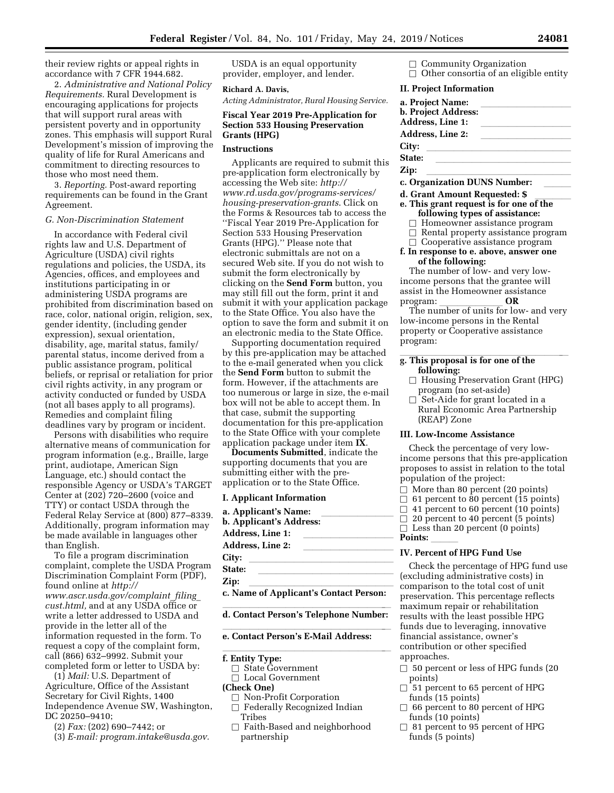their review rights or appeal rights in accordance with 7 CFR 1944.682.

2. *Administrative and National Policy Requirements.* Rural Development is encouraging applications for projects that will support rural areas with persistent poverty and in opportunity zones. This emphasis will support Rural Development's mission of improving the quality of life for Rural Americans and commitment to directing resources to those who most need them.

3. *Reporting.* Post-award reporting requirements can be found in the Grant Agreement.

## *G. Non-Discrimination Statement*

In accordance with Federal civil rights law and U.S. Department of Agriculture (USDA) civil rights regulations and policies, the USDA, its Agencies, offices, and employees and institutions participating in or administering USDA programs are prohibited from discrimination based on race, color, national origin, religion, sex, gender identity, (including gender expression), sexual orientation, disability, age, marital status, family/ parental status, income derived from a public assistance program, political beliefs, or reprisal or retaliation for prior civil rights activity, in any program or activity conducted or funded by USDA (not all bases apply to all programs). Remedies and complaint filing deadlines vary by program or incident.

Persons with disabilities who require alternative means of communication for program information (e.g., Braille, large print, audiotape, American Sign Language, etc.) should contact the responsible Agency or USDA's TARGET Center at (202) 720–2600 (voice and TTY) or contact USDA through the Federal Relay Service at (800) 877–8339. Additionally, program information may be made available in languages other than English.

To file a program discrimination complaint, complete the USDA Program Discrimination Complaint Form (PDF), found online at *[http://](http://www.ascr.usda.gov/complaint_filing_cust.html) [www.ascr.usda.gov/complaint](http://www.ascr.usda.gov/complaint_filing_cust.html)*\_*filing*\_ *[cust.html,](http://www.ascr.usda.gov/complaint_filing_cust.html)* and at any USDA office or write a letter addressed to USDA and provide in the letter all of the information requested in the form. To request a copy of the complaint form, call (866) 632–9992. Submit your completed form or letter to USDA by:

(1) *Mail:* U.S. Department of Agriculture, Office of the Assistant Secretary for Civil Rights, 1400 Independence Avenue SW, Washington, DC 20250–9410;

(2) *Fax:* (202) 690–7442; or

(3) *E-mail: [program.intake@usda.gov.](mailto:program.intake@usda.gov)* 

USDA is an equal opportunity provider, employer, and lender.

#### **Richard A. Davis,**

*Acting Administrator, Rural Housing Service.* 

## **Fiscal Year 2019 Pre-Application for Section 533 Housing Preservation Grants (HPG)**

#### **Instructions**

Applicants are required to submit this pre-application form electronically by accessing the Web site: *[http://](http://www.rd.usda.gov/programs-services/housing-preservation-grants)  [www.rd.usda.gov/programs-services/](http://www.rd.usda.gov/programs-services/housing-preservation-grants)  [housing-preservation-grants](http://www.rd.usda.gov/programs-services/housing-preservation-grants)*. Click on the Forms & Resources tab to access the ''Fiscal Year 2019 Pre-Application for Section 533 Housing Preservation Grants (HPG).'' Please note that electronic submittals are not on a secured Web site. If you do not wish to submit the form electronically by clicking on the **Send Form** button, you may still fill out the form, print it and submit it with your application package to the State Office. You also have the option to save the form and submit it on an electronic media to the State Office.

Supporting documentation required by this pre-application may be attached to the e-mail generated when you click the **Send Form** button to submit the form. However, if the attachments are too numerous or large in size, the e-mail box will not be able to accept them. In that case, submit the supporting documentation for this pre-application to the State Office with your complete application package under item **IX**.

**Documents Submitted**, indicate the supporting documents that you are submitting either with the preapplication or to the State Office.

#### **I. Applicant Information**

a. Applicant's Name: \_\_\_\_\_\_\_\_\_\_\_\_\_\_<br>b. Applicant's Address: \_\_\_\_\_\_\_\_\_\_\_\_\_\_\_\_\_\_ Address, Line 1: Address, Line 2:<br>City: **City:** llllllllllllllll **State:** lllllllllllllll

**Zip:** llllllllllllllll **c. Name of Applicant's Contact Person:** 

# d. Contact Person's Telephone Number:

# **e. Contact Person's E-Mail Address:**

# **f. Entity Type:**  $\blacksquare$

 $\Box$  State Government

 $\Box$  Local Government

## **(Check One)**

- $\Box$  Non-Profit Corporation
- $\Box$  Federally Recognized Indian Tribes
- $\Box$  Faith-Based and neighborhood partnership

 $\Box$  Community Organization  $\Box$  Other consortia of an eligible entity

#### **II. Project Information**

| a. Project Name:<br>b. Project Address:<br>Address, Line 1: |  |
|-------------------------------------------------------------|--|
| <b>Address, Line 2:</b>                                     |  |
| City:                                                       |  |
| State:                                                      |  |
| Zip:                                                        |  |
| o Organization DUNC Number                                  |  |

- **c. Organization DUNS Number:** lll
- d. Grant Amount Requested: \$<br>e. This grant request is for one of the **following types of assistance:** 
	- $\Box$  Homeowner assistance program
	- $\Box$  Rental property assistance program
	- $\Box$  Cooperative assistance program
- **f. In response to e. above, answer one of the following:**

The number of low- and very lowincome persons that the grantee will assist in the Homeowner assistance<br>program:  $OR$ 

program: **OR**<br>The number of units for low- and very low-income persons in the Rental property or Cooperative assistance program:

# g. This proposal is for one of the **following:**

- $\Box$  Housing Preservation Grant (HPG) program (no set-aside)
- $\Box$  Set-Aide for grant located in a Rural Economic Area Partnership (REAP) Zone

### **III. Low-Income Assistance**

Check the percentage of very lowincome persons that this pre-application proposes to assist in relation to the total population of the project:

- $\Box$  More than 80 percent (20 points)
- $\Box$  61 percent to 80 percent (15 points)<br> $\Box$  41 percent to 60 percent (10 points)
- $\Box$  41 percent to 60 percent (10 points)<br> $\Box$  20 percent to 40 percent (5 points)
- 20 percent to 40 percent (5 points)

 $\Box$  Less than 20 percent (0 points) **Points:** 

#### **IV. Percent of HPG Fund Use**

Check the percentage of HPG fund use (excluding administrative costs) in comparison to the total cost of unit preservation. This percentage reflects maximum repair or rehabilitation results with the least possible HPG funds due to leveraging, innovative financial assistance, owner's contribution or other specified approaches.

- $\Box$  50 percent or less of HPG funds (20 points)
- $\Box$  51 percent to 65 percent of HPG funds (15 points)
- $\Box$  66 percent to 80 percent of HPG funds (10 points)
- $\Box$  81 percent to 95 percent of HPG funds (5 points)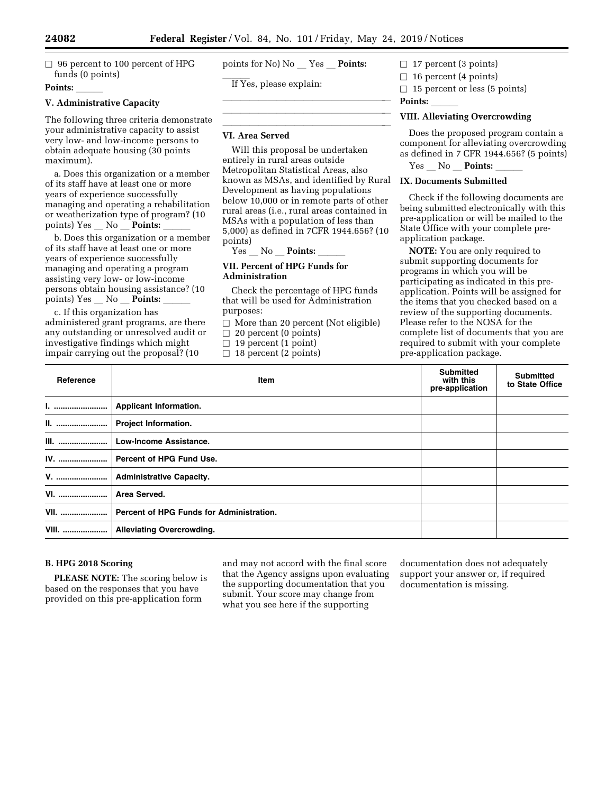llland av den statsmannsnatt og det statsmannsnatt og det statsmannsnatt og det statsmannsnatt og det statsman llland and a state of the state of the state of the state of the state of the state of the state of the state o

 $\Box$  96 percent to 100 percent of HPG funds (0 points)

## **Points:**

## **V. Administrative Capacity**

The following three criteria demonstrate your administrative capacity to assist very low- and low-income persons to obtain adequate housing (30 points maximum).

a. Does this organization or a member of its staff have at least one or more years of experience successfully managing and operating a rehabilitation or weatherization type of program? (10 points) Yes \_ No \_ **Points:** 

b. Does this organization or a member of its staff have at least one or more years of experience successfully managing and operating a program assisting very low- or low-income persons obtain housing assistance? (10 points) Yes No **Points:** 

c. If this organization has administered grant programs, are there any outstanding or unresolved audit or investigative findings which might impair carrying out the proposal? (10

points for No) No Yes **Points:** 

If Yes, please explain:

#### llilla sanna ann an cheangailte ann an cheangailte ann an cheangailte ann an cheangailte ann an cheangailte an<br>Tha ann an cheangailte ann an cheangailte ann an cheangailte ann an cheangailte ann an cheangailte ann an chea **VI. Area Served**

Will this proposal be undertaken entirely in rural areas outside Metropolitan Statistical Areas, also known as MSAs, and identified by Rural Development as having populations below 10,000 or in remote parts of other rural areas (i.e., rural areas contained in MSAs with a population of less than 5,000) as defined in 7CFR 1944.656? (10 points)

Yes No **Points:** 

## **VII. Percent of HPG Funds for Administration**

Check the percentage of HPG funds that will be used for Administration purposes:

 $\Box$  More than 20 percent (Not eligible)

 $\Box$  20 percent (0 points)

 $\Box$  19 percent (1 point)

 $\Box$  18 percent (2 points)

# $\Box$  17 percent (3 points)

 $\Box$  16 percent (4 points)

 $\Box$  15 percent or less (5 points)

**Points:** 

# **VIII. Alleviating Overcrowding**

Does the proposed program contain a component for alleviating overcrowding as defined in 7 CFR 1944.656? (5 points)

Yes No **Points:** 

## **IX. Documents Submitted**

Check if the following documents are being submitted electronically with this pre-application or will be mailed to the State Office with your complete preapplication package.

**NOTE:** You are only required to submit supporting documents for programs in which you will be participating as indicated in this preapplication. Points will be assigned for the items that you checked based on a review of the supporting documents. Please refer to the NOSA for the complete list of documents that you are required to submit with your complete pre-application package.

| Reference    | Item                                     | <b>Submitted</b><br>with this<br>pre-application | <b>Submitted</b><br>to State Office |
|--------------|------------------------------------------|--------------------------------------------------|-------------------------------------|
| <u>1. </u>   | <b>Applicant Information.</b>            |                                                  |                                     |
|              | Project Information.                     |                                                  |                                     |
| <b>III.</b>  | <b>Low-Income Assistance.</b>            |                                                  |                                     |
| IV.          | Percent of HPG Fund Use.                 |                                                  |                                     |
| <b>V.</b>    | <b>Administrative Capacity.</b>          |                                                  |                                     |
| <b>VI.</b>   | Area Served.                             |                                                  |                                     |
| <b>VII.</b>  | Percent of HPG Funds for Administration. |                                                  |                                     |
| <b>VIII.</b> | <b>Alleviating Overcrowding.</b>         |                                                  |                                     |

## **B. HPG 2018 Scoring**

**PLEASE NOTE:** The scoring below is based on the responses that you have provided on this pre-application form

and may not accord with the final score that the Agency assigns upon evaluating the supporting documentation that you submit. Your score may change from what you see here if the supporting

documentation does not adequately support your answer or, if required documentation is missing.